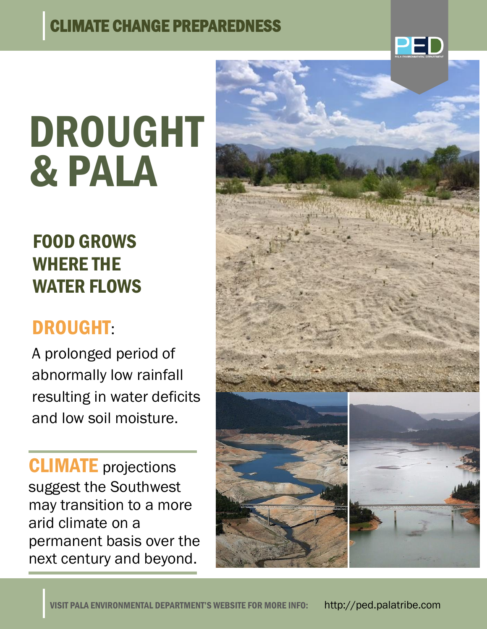#### CLIMATE CHANGE PREPAREDNESS



# DROUGHT & PALA

## FOOD GROWS WHERE THE WATER FLOWS

## DROUGHT:

A prolonged period of abnormally low rainfall resulting in water deficits and low soil moisture.

**CLIMATE** projections suggest the Southwest may transition to a more arid climate on a permanent basis over the next century and beyond.